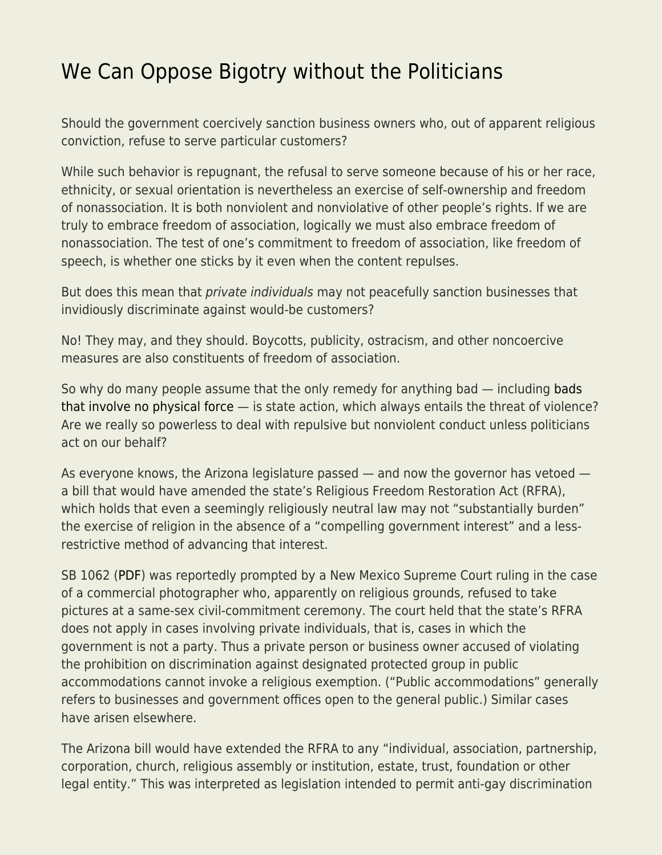## [We Can Oppose Bigotry without the Politicians](https://everything-voluntary.com/we-can-oppose-bigotry-without-the-politicians)

Should the government coercively sanction business owners who, out of apparent religious conviction, refuse to serve particular customers?

While such behavior is repugnant, the refusal to serve someone because of his or her race, ethnicity, or sexual orientation is nevertheless an exercise of self-ownership and freedom of nonassociation. It is both nonviolent and nonviolative of other people's rights. If we are truly to embrace freedom of association, logically we must also embrace freedom of nonassociation. The test of one's commitment to freedom of association, like freedom of speech, is whether one sticks by it even when the content repulses.

But does this mean that private individuals may not peacefully sanction businesses that invidiously discriminate against would-be customers?

No! They may, and they should. Boycotts, publicity, ostracism, and other noncoercive measures are also constituents of freedom of association.

So why do many people assume that the only remedy for anything bad — including [bads](http://fff.org/explore-freedom/article/tgif-rights-violations-arent-the-only-bads/) [that involve no physical force](http://fff.org/explore-freedom/article/tgif-rights-violations-arent-the-only-bads/) — is state action, which always entails the threat of violence? Are we really so powerless to deal with repulsive but nonviolent conduct unless politicians act on our behalf?

As everyone knows, the Arizona legislature passed — and now the governor has vetoed a bill that would have amended the state's Religious Freedom Restoration Act (RFRA), which holds that even a seemingly religiously neutral law may not "substantially burden" the exercise of religion in the absence of a "compelling government interest" and a lessrestrictive method of advancing that interest.

SB 1062 [\(PDF\)](http://www.azleg.gov/legtext/51leg/2r/bills/sb1062p.pdf) was reportedly prompted by a New Mexico Supreme Court ruling in the case of a commercial photographer who, apparently on religious grounds, refused to take pictures at a same-sex civil-commitment ceremony. The court held that the state's RFRA does not apply in cases involving private individuals, that is, cases in which the government is not a party. Thus a private person or business owner accused of violating the prohibition on discrimination against designated protected group in public accommodations cannot invoke a religious exemption. ("Public accommodations" generally refers to businesses and government offices open to the general public.) Similar cases have arisen elsewhere.

The Arizona bill would have extended the RFRA to any "individual, association, partnership, corporation, church, religious assembly or institution, estate, trust, foundation or other legal entity." This was interpreted as legislation intended to permit anti-gay discrimination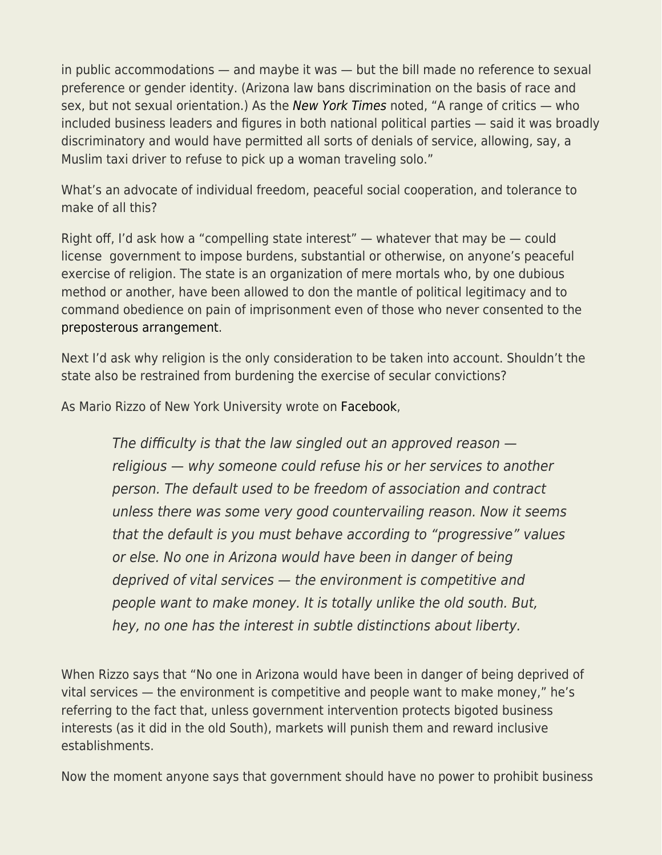in public accommodations — and maybe it was — but the bill made no reference to sexual preference or gender identity. (Arizona law bans discrimination on the basis of race and sex, but not sexual orientation.) As the [New York Times](http://www.nytimes.com/2014/02/27/us/Brewer-arizona-gay-service-bill.html?hp) noted, "A range of critics — who included business leaders and figures in both national political parties — said it was broadly discriminatory and would have permitted all sorts of denials of service, allowing, say, a Muslim taxi driver to refuse to pick up a woman traveling solo."

What's an advocate of individual freedom, peaceful social cooperation, and tolerance to make of all this?

Right off, I'd ask how a "compelling state interest"  $-$  whatever that may be  $-$  could license government to impose burdens, substantial or otherwise, on anyone's peaceful exercise of religion. The state is an organization of mere mortals who, by one dubious method or another, have been allowed to don the mantle of political legitimacy and to command obedience on pain of imprisonment even of those who never consented to the [preposterous arrangement](https://www.fourmilab.ch/etexts/www/NoTreason/NoTreason.html).

Next I'd ask why religion is the only consideration to be taken into account. Shouldn't the state also be restrained from burdening the exercise of secular convictions?

As Mario Rizzo of New York University wrote on [Facebook](https://www.facebook.com/profile.php?id=833388&fref=ts),

The difficulty is that the law singled out an approved reason  $$ religious — why someone could refuse his or her services to another person. The default used to be freedom of association and contract unless there was some very good countervailing reason. Now it seems that the default is you must behave according to "progressive" values or else. No one in Arizona would have been in danger of being deprived of vital services — the environment is competitive and people want to make money. It is totally unlike the old south. But, hey, no one has the interest in subtle distinctions about liberty.

When Rizzo says that "No one in Arizona would have been in danger of being deprived of vital services — the environment is competitive and people want to make money," he's referring to the fact that, unless government intervention protects bigoted business interests (as it did in the old South), markets will punish them and reward inclusive establishments.

Now the moment anyone says that government should have no power to prohibit business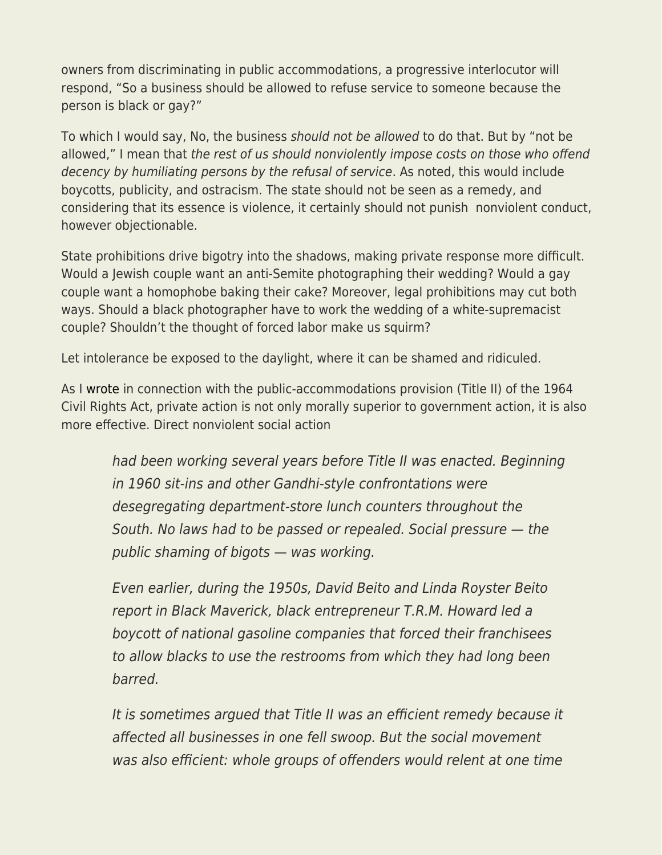owners from discriminating in public accommodations, a progressive interlocutor will respond, "So a business should be allowed to refuse service to someone because the person is black or gay?"

To which I would say, No, the business should not be allowed to do that. But by "not be allowed," I mean that the rest of us should nonviolently impose costs on those who offend decency by humiliating persons by the refusal of service. As noted, this would include boycotts, publicity, and ostracism. The state should not be seen as a remedy, and considering that its essence is violence, it certainly should not punish nonviolent conduct, however objectionable.

State prohibitions drive bigotry into the shadows, making private response more difficult. Would a Jewish couple want an anti-Semite photographing their wedding? Would a gay couple want a homophobe baking their cake? Moreover, legal prohibitions may cut both ways. Should a black photographer have to work the wedding of a white-supremacist couple? Shouldn't the thought of forced labor make us squirm?

Let intolerance be exposed to the daylight, where it can be shamed and ridiculed.

As I [wrote](http://www.cato-unbound.org/2010/06/18/sheldon-richman/context-keeping-community-organizing) in connection with the public-accommodations provision (Title II) of the 1964 Civil Rights Act, private action is not only morally superior to government action, it is also more effective. Direct nonviolent social action

had been working several years before Title II was enacted. Beginning in 1960 sit-ins and other Gandhi-style confrontations were desegregating department-store lunch counters throughout the South. No laws had to be passed or repealed. Social pressure — the public shaming of bigots — was working.

Even earlier, during the 1950s, David Beito and Linda Royster Beito report in Black Maverick, black entrepreneur T.R.M. Howard led a boycott of national gasoline companies that forced their franchisees to allow blacks to use the restrooms from which they had long been barred.

It is sometimes argued that Title II was an efficient remedy because it affected all businesses in one fell swoop. But the social movement was also efficient: whole groups of offenders would relent at one time